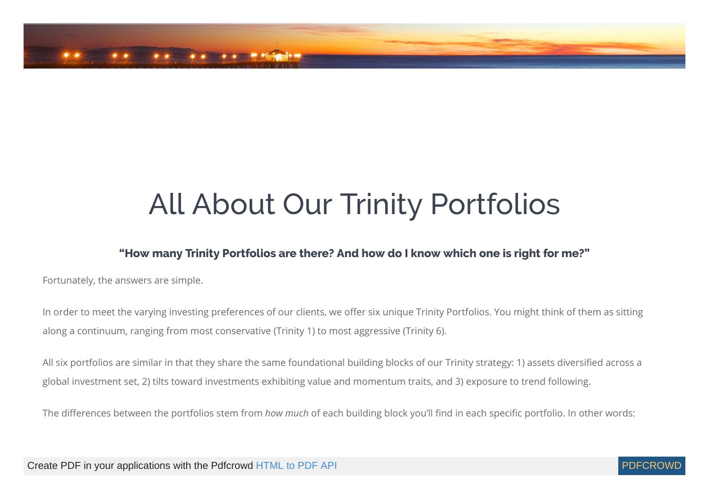

# All About Our Trinity Portfolios

#### **"How many Trinity Portfolios are there? And how do I know which one is right for me?"**

Fortunately, the answers are simple.

In order to meet the varying investing preferences of our clients, we offer six unique Trinity Portfolios. You might think of them as sitting along a continuum, ranging from most conservative (Trinity 1) to most aggressive (Trinity 6).

All six portfolios are similar in that they share the same foundational building blocks of our Trinity strategy: 1) assets diversified across a global investment set, 2) tilts toward investments exhibiting value and momentum traits, and 3) exposure to trend following.

The differences between the portfolios stem from *how much* of each building block you'll find in each specific portfolio. In other words:

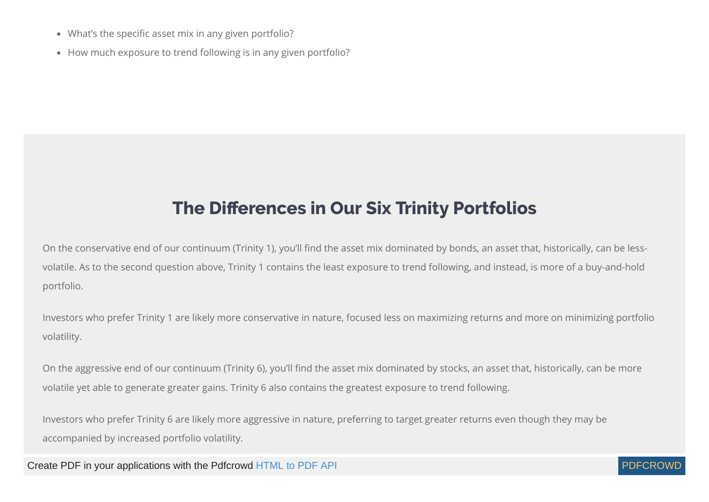- What's the specific asset mix in any given portfolio?
- How much exposure to trend following is in any given portfolio?

#### **The Differences in Our Six Trinity Portfolios**

On the conservative end of our continuum (Trinity 1), you'll find the asset mix dominated by bonds, an asset that, historically, can be lessvolatile. As to the second question above, Trinity 1 contains the least exposure to trend following, and instead, is more of a buy-and-hold portfolio.

Investors who prefer Trinity 1 are likely more conservative in nature, focused less on maximizing returns and more on minimizing portfolio volatility.

On the aggressive end of our continuum (Trinity 6), you'll find the asset mix dominated by stocks, an asset that, historically, can be more volatile yet able to generate greater gains. Trinity 6 also contains the greatest exposure to trend following.

Investors who prefer Trinity 6 are likely more aggressive in nature, preferring to target greater returns even though they may be accompanied by increased portfolio volatility.

Create PDF in your applications with the Pdfcrowd [HTML to PDF API](https://pdfcrowd.com/doc/api/?ref=pdf) [PDFCROWD](https://pdfcrowd.com/?ref=pdf) AT A RESERVE AND TO A RESERVE AT A RESERVE AND TO A RESERVE A RESERVE AND TO A RESERVE A RESERVE AND TO A RESERVE A RESERVE AND TO A RESERVE A RESE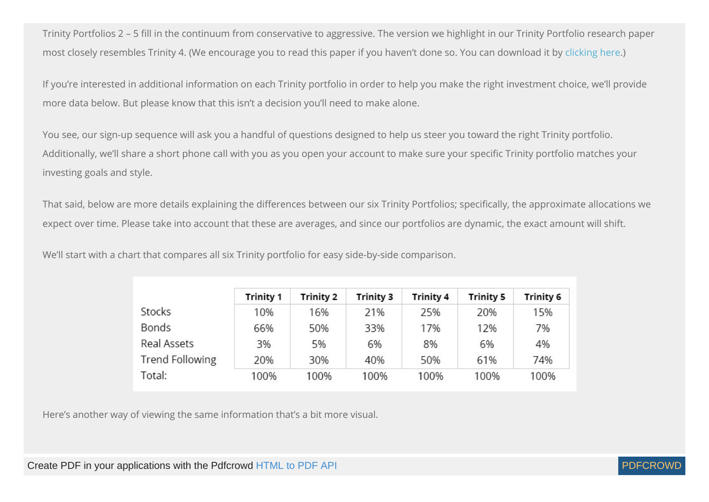Trinity Portfolios 2 – 5 fill in the continuum from conservative to aggressive. The version we highlight in our Trinity Portfolio research paper most closely resembles Trinity 4. (We encourage you to read this paper if you haven't done so. You can download it by [clicking here.](https://www.cambriainvestments.com/wp-content/uploads/2017/01/Trinity_WP_122816_A.pdf))

If you're interested in additional information on each Trinity portfolio in order to help you make the right investment choice, we'll provide more data below. But please know that this isn't a decision you'll need to make alone.

You see, our sign-up sequence will ask you a handful of questions designed to help us steer you toward the right Trinity portfolio. Additionally, we'll share a short phone call with you as you open your account to make sure your specific Trinity portfolio matches your investing goals and style.

That said, below are more details explaining the differences between our six Trinity Portfolios; specifically, the approximate allocations we expect over time. Please take into account that these are averages, and since our portfolios are dynamic, the exact amount will shift.

We'll start with a chart that compares all six Trinity portfolio for easy side-by-side comparison.

|                        | <b>Trinity 1</b> | <b>Trinity 2</b> | <b>Trinity 3</b> | <b>Trinity 4</b> | <b>Trinity 5</b> | <b>Trinity 6</b> |
|------------------------|------------------|------------------|------------------|------------------|------------------|------------------|
| Stocks                 | 10%              | 16%              | 21%              | 25%              | 20%              | 15%              |
| <b>Bonds</b>           | 66%              | 50%              | 33%              | 17%              | 12%              | 7%               |
| Real Assets            | 3%               | 5%               | 6%               | 8%               | 6%               | 4%               |
| <b>Trend Following</b> | 20%              | 30%              | 40%              | 50%              | 61%              | 74%              |
| Total:                 | 100%             | 100%             | 100%             | 100%             | 100%             | 100%             |

Here's another way of viewing the same information that's a bit more visual.

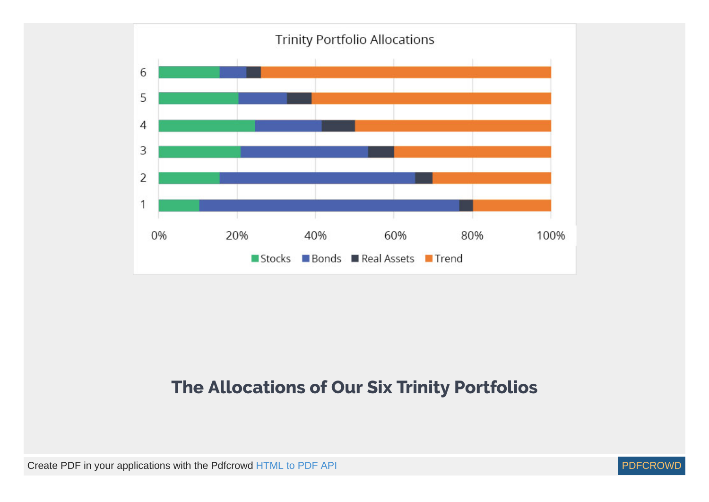

#### **The Allocations of Our Six Trinity Portfolios**

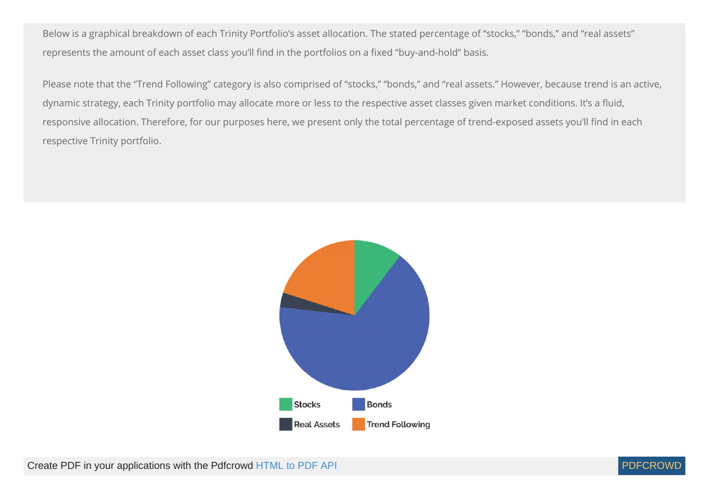Below is a graphical breakdown of each Trinity Portfolio's asset allocation. The stated percentage of "stocks," "bonds," and "real assets" represents the amount of each asset class you'll find in the portfolios on a fixed "buy-and-hold" basis.

Please note that the "Trend Following" category is also comprised of "stocks," "bonds," and "real assets." However, because trend is an active, dynamic strategy, each Trinity portfolio may allocate more or less to the respective asset classes given market conditions. It's a fluid, responsive allocation. Therefore, for our purposes here, we present only the total percentage of trend-exposed assets you'll find in each respective Trinity portfolio.



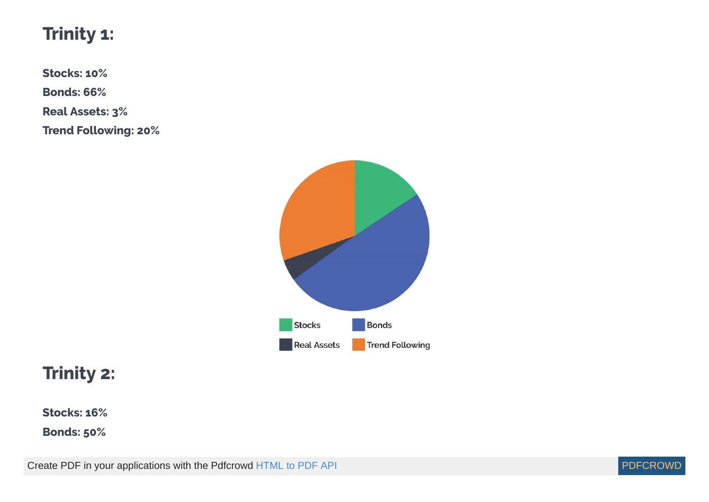#### **Trinity 1:**

**Stocks: 10%**

**Bonds: 66%**

**Real Assets: 3%**

**Trend Following: 20%**



#### **Trinity 2:**

**Stocks: 16%**

**Bonds: 50%**

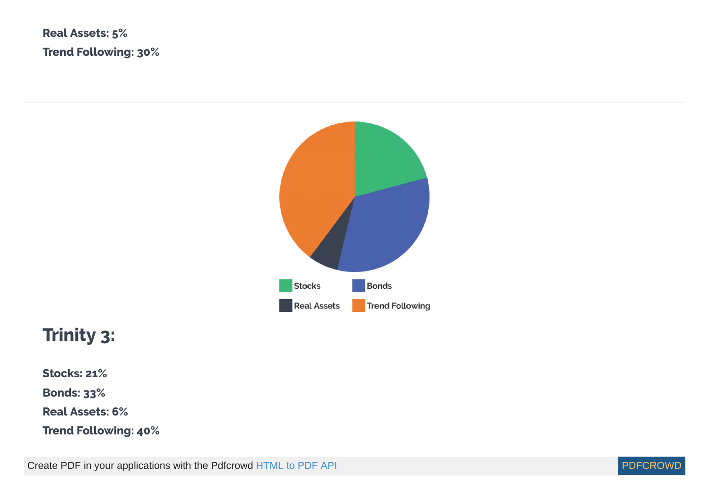**Real Assets: 5% Trend Following: 30%**



### **Trinity 3:**

**Stocks: 21%**

**Bonds: 33%**

**Real Assets: 6%**

**Trend Following: 40%**

Create PDF in your applications with the Pdfcrowd [HTML to PDF API](https://pdfcrowd.com/doc/api/?ref=pdf) [PDFCROWD](https://pdfcrowd.com/?ref=pdf) Create PDF in your applications with the Pdfcrowd HTML to PDF API

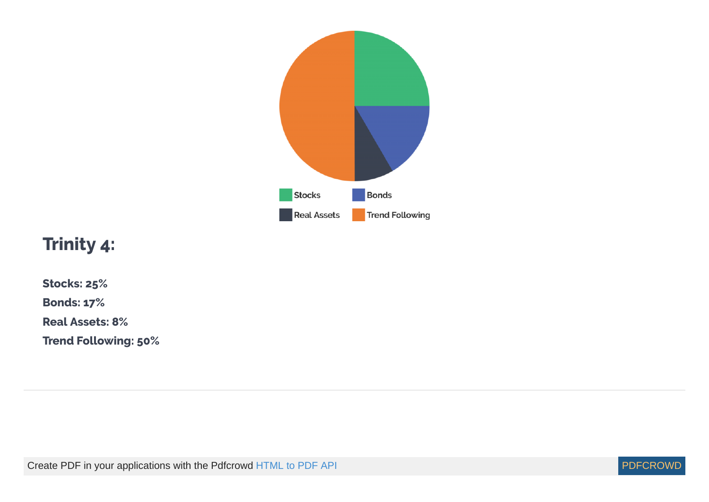

#### **Trinity 4:**

**Stocks: 25%**

**Bonds: 17%**

**Real Assets: 8%**

**Trend Following: 50%**

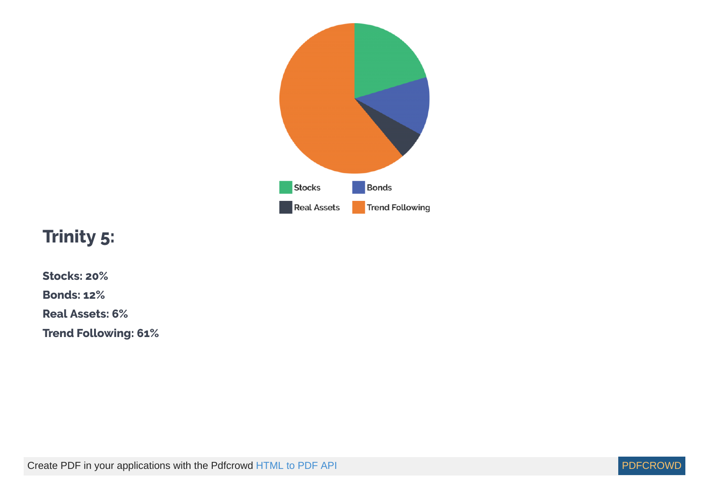

### **Trinity 5:**

- **Stocks: 20%**
- **Bonds: 12%**
- **Real Assets: 6%**
- **Trend Following: 61%**

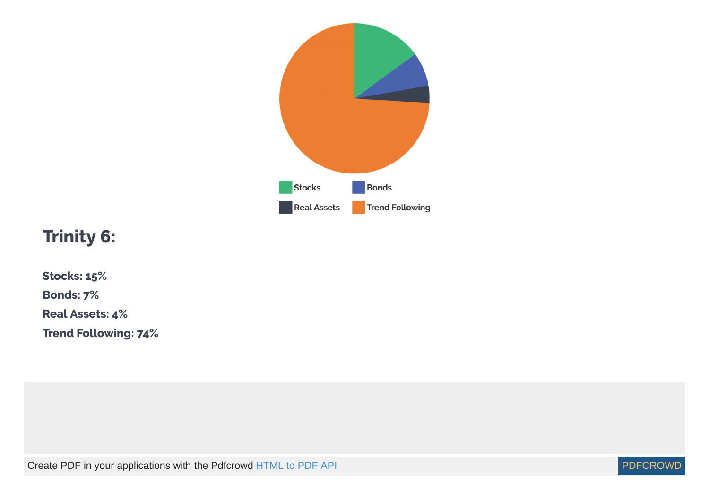

### **Trinity 6:**

**Stocks: 15% Bonds: 7% Real Assets: 4% Trend Following: 74%**

Create PDF in your applications with the Pdfcrowd [HTML to PDF API](https://pdfcrowd.com/doc/api/?ref=pdf) [PDFCROWD](https://pdfcrowd.com/?ref=pdf) Create PDF in your applications with the Pdfcrowd HTML to PDF API

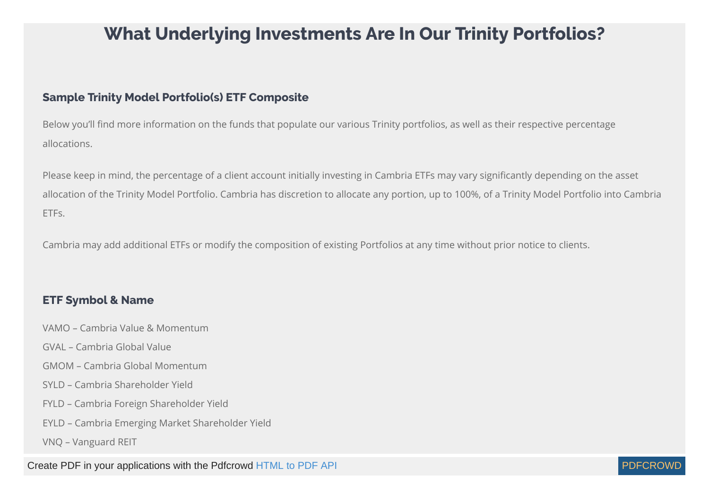#### **What Underlying Investments Are In Our Trinity Portfolios?**

#### **Sample Trinity Model Portfolio(s) ETF Composite**

Below you'll find more information on the funds that populate our various Trinity portfolios, as well as their respective percentage allocations.

Please keep in mind, the percentage of a client account initially investing in Cambria ETFs may vary signicantly depending on the asset allocation of the Trinity Model Portfolio. Cambria has discretion to allocate any portion, up to 100%, of a Trinity Model Portfolio into Cambria ETFs.

Cambria may add additional ETFs or modify the composition of existing Portfolios at any time without prior notice to clients.

#### **ETF Symbol & Name**

- VAMO Cambria Value & Momentum
- GVAL Cambria Global Value
- GMOM Cambria Global Momentum
- SYLD Cambria Shareholder Yield
- FYLD Cambria Foreign Shareholder Yield
- EYLD Cambria Emerging Market Shareholder Yield
- VNQ Vanguard REIT

Create PDF in your applications with the Pdfcrowd [HTML to PDF API](https://pdfcrowd.com/doc/api/?ref=pdf) [PDFCROWD](https://pdfcrowd.com/?ref=pdf) AT A PUT API PDFCROWD BE A PUT AT A POST OF A PUT AND THE REAL PROPERTY AT A PUT AND A PUT AT A PUT AT A PUT AT A PUT AT A PUT AT A PUT AT A PUT AT

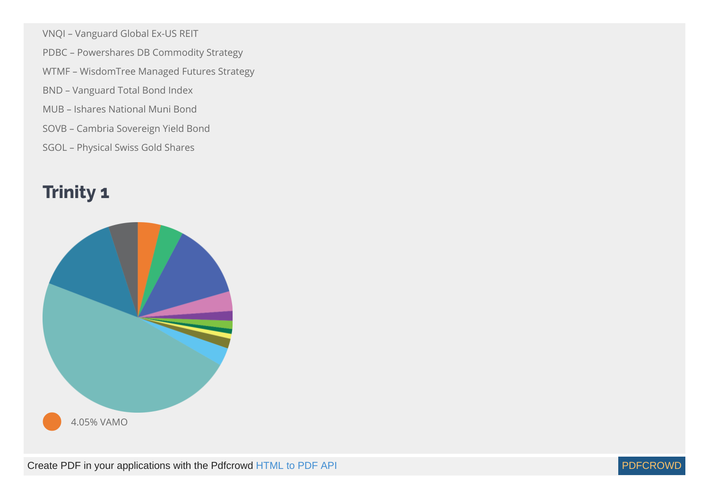- VNQI Vanguard Global Ex-US REIT
- PDBC Powershares DB Commodity Strategy
- WTMF WisdomTree Managed Futures Strategy
- BND Vanguard Total Bond Index
- MUB Ishares National Muni Bond
- SOVB Cambria Sovereign Yield Bond
- SGOL Physical Swiss Gold Shares

## **Trinity 1**





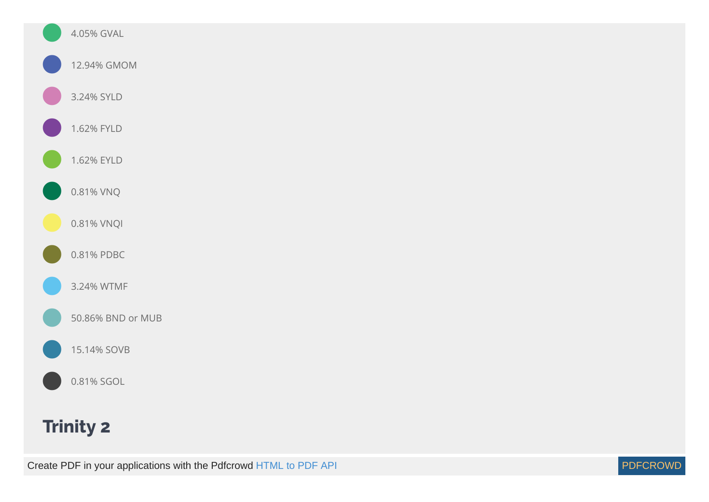

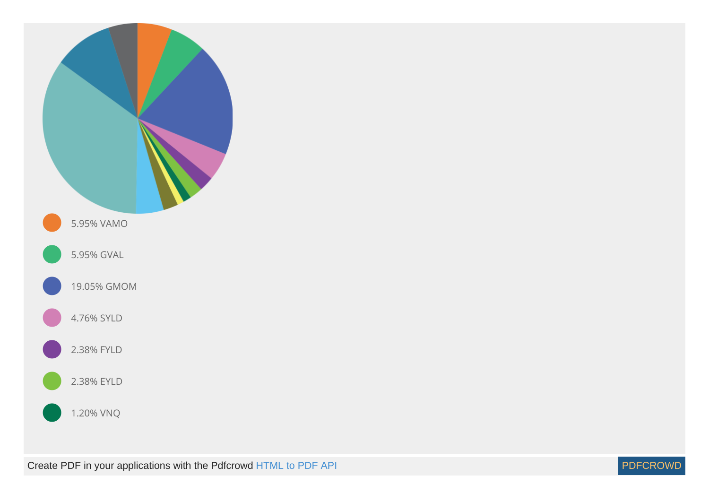

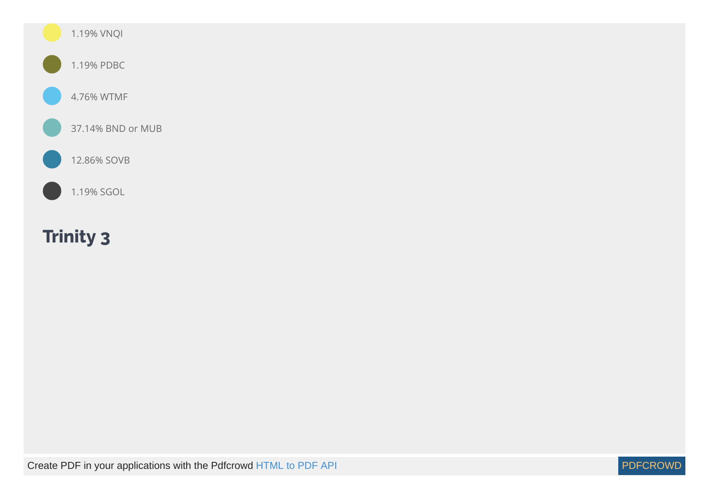

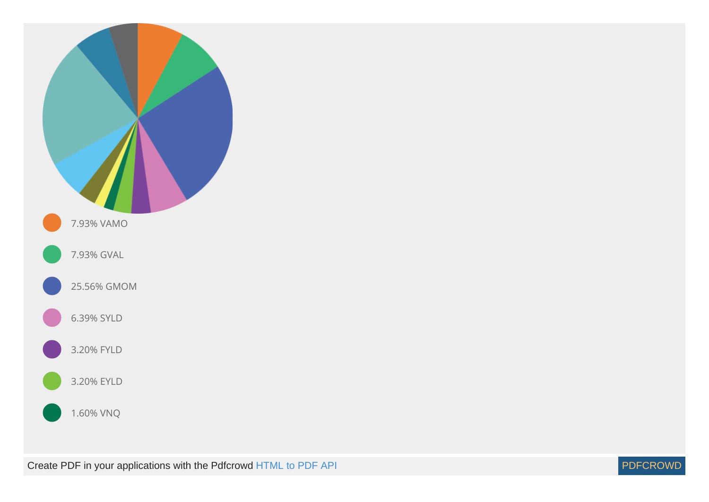

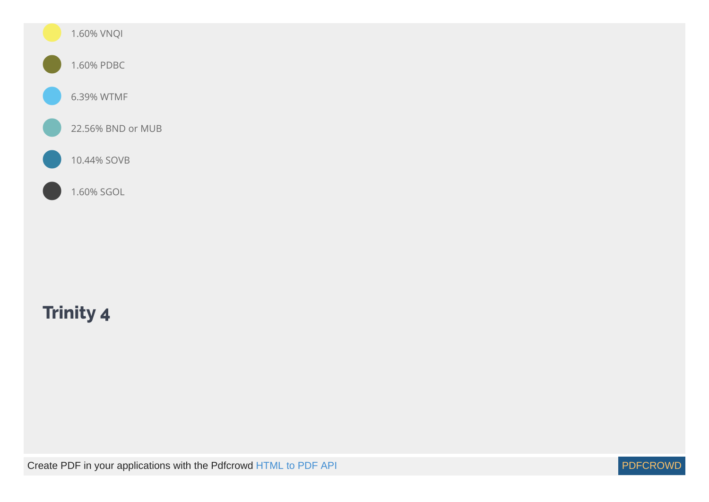

### **Trinity 4**

Create PDF in your applications with the Pdfcrowd [HTML to PDF API](https://pdfcrowd.com/doc/api/?ref=pdf) [PDFCROWD](https://pdfcrowd.com/?ref=pdf) Create PDF in your applications with the Pdfcrowd HTML to PDF API

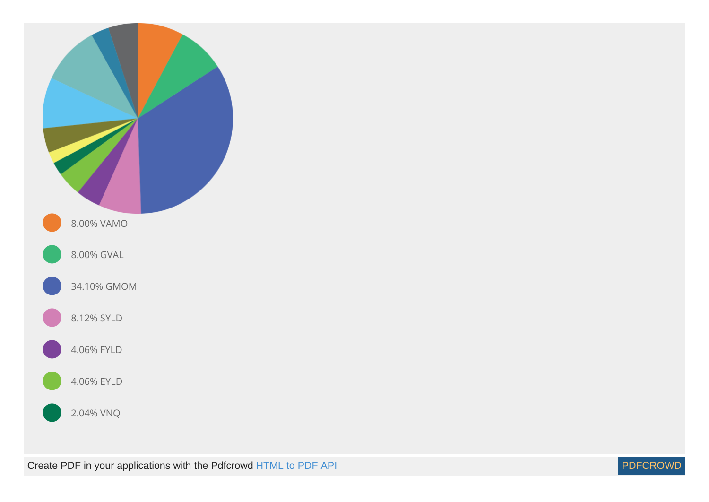

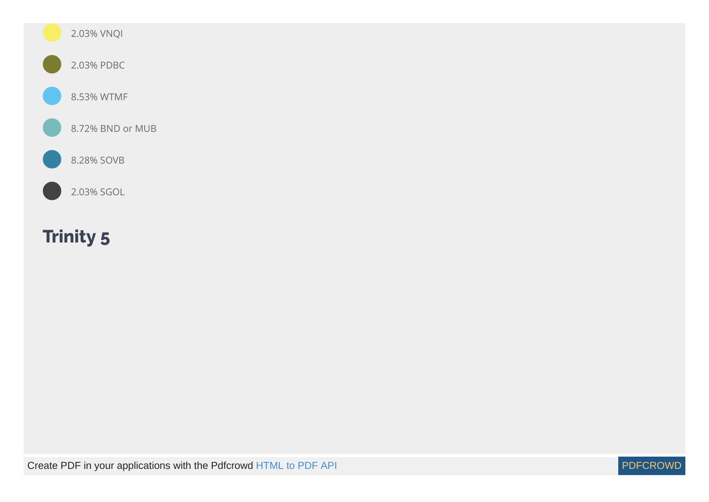

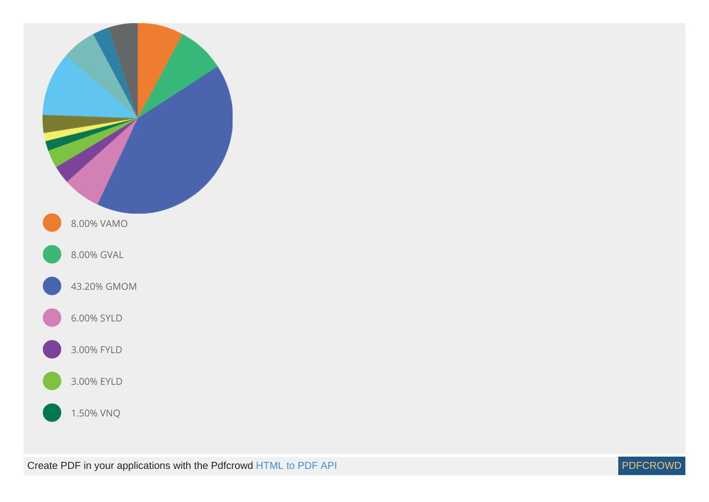

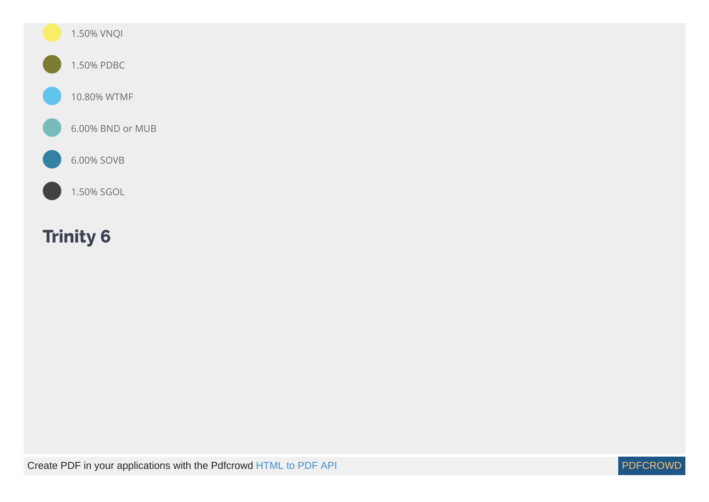

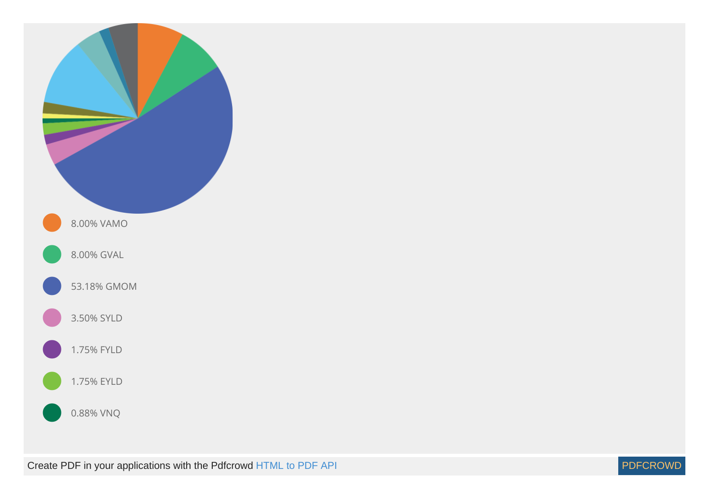

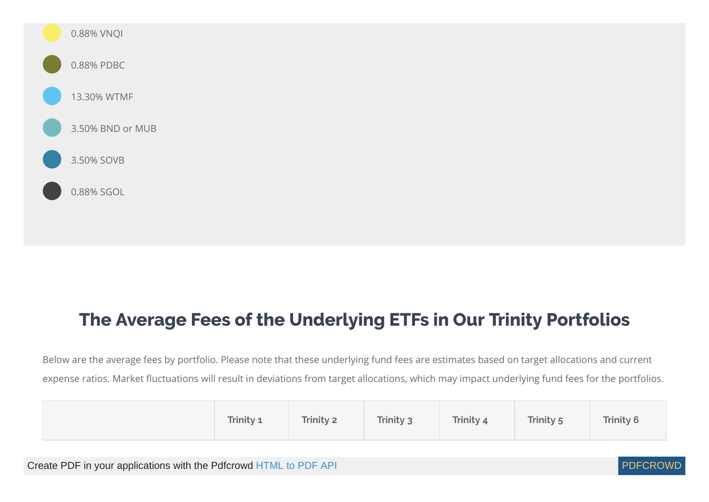

#### **The Average Fees of the Underlying ETFs in Our Trinity Portfolios**

Below are the average fees by portfolio. Please note that these underlying fund fees are estimates based on target allocations and current expense ratios. Market fluctuations will result in deviations from target allocations, which may impact underlying fund fees for the portfolios.

| Trinity 1 | Trinity 2 | Trinity 3 | Trinity 4 | <b>Trinity 5</b> | <b>Trinity 6</b> |
|-----------|-----------|-----------|-----------|------------------|------------------|
|-----------|-----------|-----------|-----------|------------------|------------------|

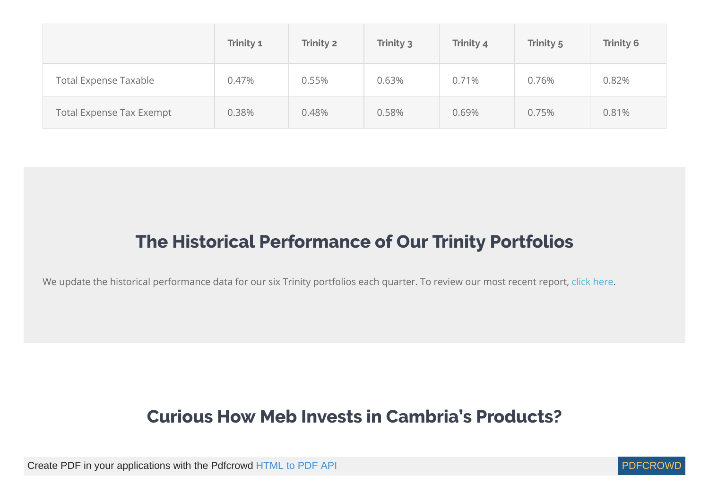|                                 | Trinity 1 | Trinity 2 | Trinity 3 | Trinity 4 | Trinity 5 | <b>Trinity 6</b> |
|---------------------------------|-----------|-----------|-----------|-----------|-----------|------------------|
| <b>Total Expense Taxable</b>    | 0.47%     | 0.55%     | 0.63%     | 0.71%     | 0.76%     | 0.82%            |
| <b>Total Expense Tax Exempt</b> | 0.38%     | 0.48%     | 0.58%     | 0.69%     | 0.75%     | 0.81%            |

#### **The Historical Performance of Our Trinity Portfolios**

We update the historical performance data for our six Trinity portfolios each quarter. To review our most recent report, [click here](https://www.cambriainvestments.com/wp-content/uploads/2019/08/Trinity-Q2-2019.pdf).

#### **Curious How Meb Invests in Cambria's Products?**

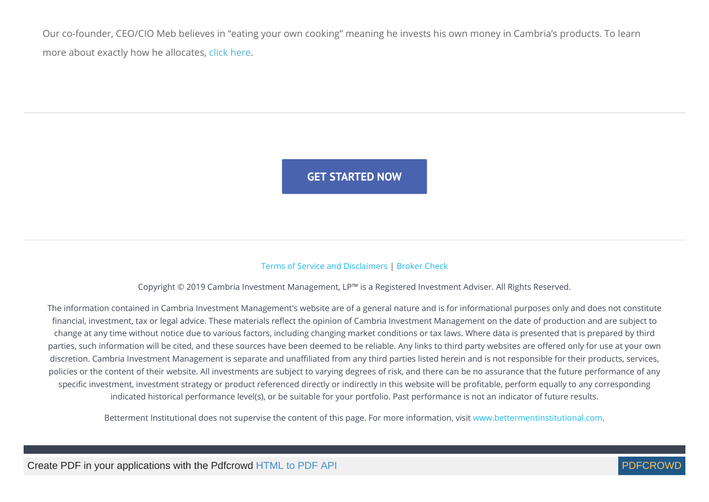Our co-founder, CEO/CIO Meb believes in "eating your own cooking" meaning he invests his own money in Cambria's products. To learn more about exactly how he allocates, [click here.](https://www.cambriainvestments.com/wp-content/uploads/2018/10/TRTY-Faber-Allocation.pdf)

**GET [STARTED](https://onboarding.betterment.com/cambria-investment-management-l-p/signup.html?advisor_token=Vp94kIKowfo) NOW**

#### [Terms of Service and Disclaimers](https://www.cambriainvestments.com/terms-of-service) | [Broker Check](http://brokercheck.finra.org/)

Copyright © 2019 Cambria Investment Management, LP™ is a Registered Investment Adviser. All Rights Reserved.

The information contained in Cambria Investment Management's website are of a general nature and is for informational purposes only and does not constitute financial, investment, tax or legal advice. These materials reflect the opinion of Cambria Investment Management on the date of production and are subject to change at any time without notice due to various factors, including changing market conditions or tax laws. Where data is presented that is prepared by third parties, such information will be cited, and these sources have been deemed to be reliable. Any links to third party websites are offered only for use at your own discretion. Cambria Investment Management is separate and unaffiliated from any third parties listed herein and is not responsible for their products, services, policies or the content of their website. All investments are subject to varying degrees of risk, and there can be no assurance that the future performance of any specific investment, investment strategy or product referenced directly or indirectly in this website will be profitable, perform equally to any corresponding indicated historical performance level(s), or be suitable for your portfolio. Past performance is not an indicator of future results.

Betterment Institutional does not supervise the content of this page. For more information, visit [www.bettermentinstitutional.com](https://www.bettermentinstitutional.com/).